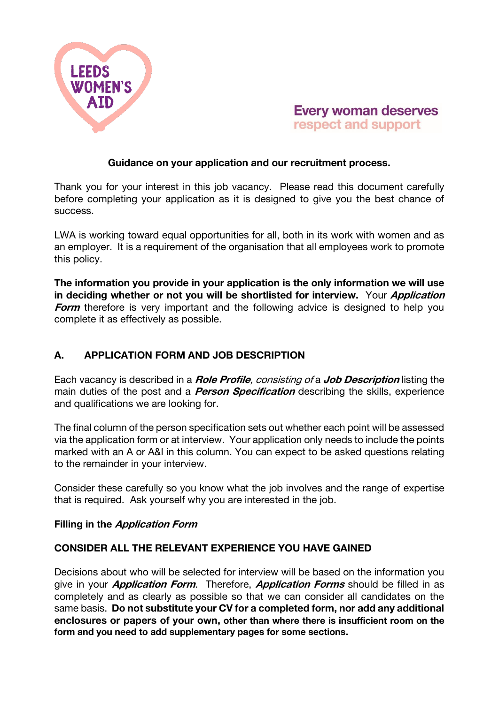



### Guidance on your application and our recruitment process.

Thank you for your interest in this job vacancy. Please read this document carefully before completing your application as it is designed to give you the best chance of success.

LWA is working toward equal opportunities for all, both in its work with women and as an employer. It is a requirement of the organisation that all employees work to promote this policy.

The information you provide in your application is the only information we will use in deciding whether or not you will be shortlisted for interview. Your Application **Form** therefore is very important and the following advice is designed to help you complete it as effectively as possible.

# A. APPLICATION FORM AND JOB DESCRIPTION

Each vacancy is described in a **Role Profile**, consisting of a **Job Description** listing the main duties of the post and a *Person Specification* describing the skills, experience and qualifications we are looking for.

The final column of the person specification sets out whether each point will be assessed via the application form or at interview. Your application only needs to include the points marked with an A or A&I in this column. You can expect to be asked questions relating to the remainder in your interview.

Consider these carefully so you know what the job involves and the range of expertise that is required. Ask yourself why you are interested in the job.

### Filling in the Application Form

# CONSIDER ALL THE RELEVANT EXPERIENCE YOU HAVE GAINED

Decisions about who will be selected for interview will be based on the information you give in your *Application Form*. Therefore, *Application Forms* should be filled in as completely and as clearly as possible so that we can consider all candidates on the same basis. Do not substitute your CV for a completed form, nor add any additional enclosures or papers of your own, other than where there is insufficient room on the form and you need to add supplementary pages for some sections.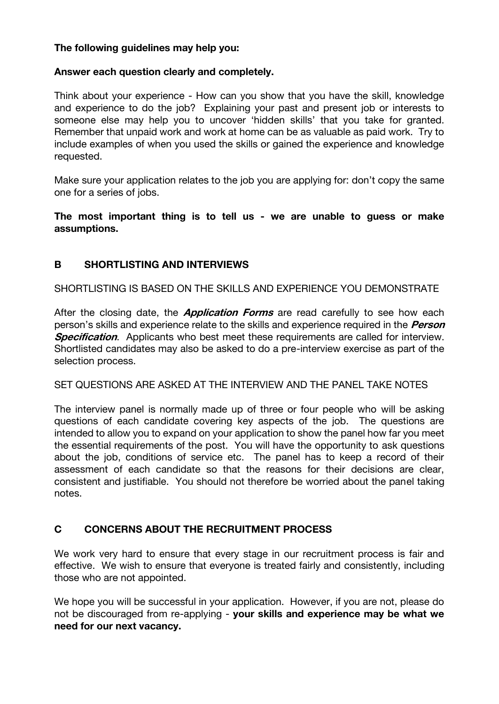## The following guidelines may help you:

## Answer each question clearly and completely.

Think about your experience - How can you show that you have the skill, knowledge and experience to do the job? Explaining your past and present job or interests to someone else may help you to uncover 'hidden skills' that you take for granted. Remember that unpaid work and work at home can be as valuable as paid work. Try to include examples of when you used the skills or gained the experience and knowledge requested.

Make sure your application relates to the job you are applying for: don't copy the same one for a series of jobs.

The most important thing is to tell us - we are unable to guess or make assumptions.

# B SHORTLISTING AND INTERVIEWS

SHORTLISTING IS BASED ON THE SKILLS AND EXPERIENCE YOU DEMONSTRATE

After the closing date, the *Application Forms* are read carefully to see how each person's skills and experience relate to the skills and experience required in the *Person* **Specification.** Applicants who best meet these requirements are called for interview. Shortlisted candidates may also be asked to do a pre-interview exercise as part of the selection process.

### SET QUESTIONS ARE ASKED AT THE INTERVIEW AND THE PANEL TAKE NOTES

The interview panel is normally made up of three or four people who will be asking questions of each candidate covering key aspects of the job. The questions are intended to allow you to expand on your application to show the panel how far you meet the essential requirements of the post. You will have the opportunity to ask questions about the job, conditions of service etc. The panel has to keep a record of their assessment of each candidate so that the reasons for their decisions are clear, consistent and justifiable. You should not therefore be worried about the panel taking notes.

# C CONCERNS ABOUT THE RECRUITMENT PROCESS

We work very hard to ensure that every stage in our recruitment process is fair and effective. We wish to ensure that everyone is treated fairly and consistently, including those who are not appointed.

We hope you will be successful in your application. However, if you are not, please do not be discouraged from re-applying - your skills and experience may be what we need for our next vacancy.